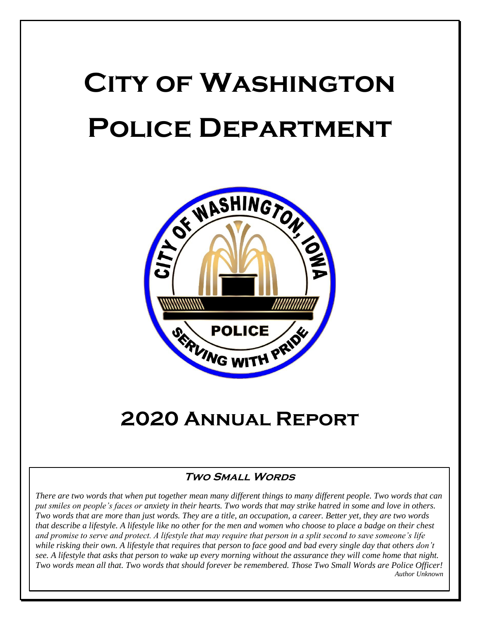# **City of Washington Police Department**



# **2020 Annual Report**

#### **Two Small Words**

*There are two words that when put together mean many different things to many different people. Two words that can put smiles on people's faces or anxiety in their hearts. Two words that may strike hatred in some and love in others. Two words that are more than just words. They are a title, an occupation, a career. Better yet, they are two words that describe a lifestyle. A lifestyle like no other for the men and women who choose to place a badge on their chest and promise to serve and protect. A lifestyle that may require that person in a split second to save someone's life while risking their own. A lifestyle that requires that person to face good and bad every single day that others don't see. A lifestyle that asks that person to wake up every morning without the assurance they will come home that night. Two words mean all that. Two words that should forever be remembered. Those Two Small Words are Police Officer! Author Unknown*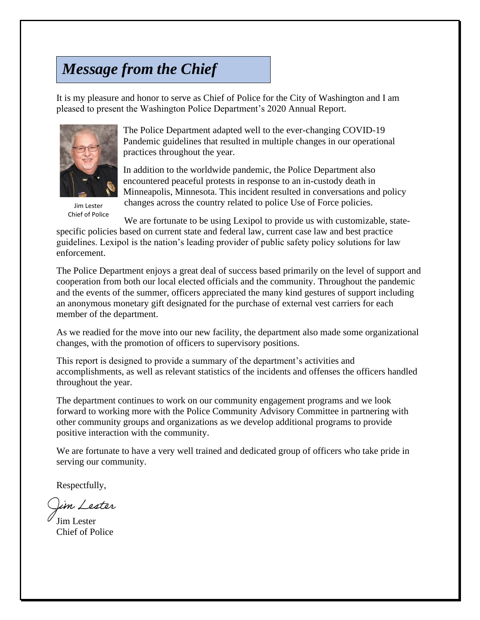# *Message from the Chief*

It is my pleasure and honor to serve as Chief of Police for the City of Washington and I am pleased to present the Washington Police Department's 2020 Annual Report.



Jim Lester Chief of Police

The Police Department adapted well to the ever-changing COVID-19 Pandemic guidelines that resulted in multiple changes in our operational practices throughout the year.

In addition to the worldwide pandemic, the Police Department also encountered peaceful protests in response to an in-custody death in Minneapolis, Minnesota. This incident resulted in conversations and policy changes across the country related to police Use of Force policies.

We are fortunate to be using Lexipol to provide us with customizable, statespecific policies based on current state and federal law, current case law and best practice guidelines. Lexipol is the nation's leading provider of public safety policy solutions for law enforcement.

The Police Department enjoys a great deal of success based primarily on the level of support and cooperation from both our local elected officials and the community. Throughout the pandemic and the events of the summer, officers appreciated the many kind gestures of support including an anonymous monetary gift designated for the purchase of external vest carriers for each member of the department.

As we readied for the move into our new facility, the department also made some organizational changes, with the promotion of officers to supervisory positions.

This report is designed to provide a summary of the department's activities and accomplishments, as well as relevant statistics of the incidents and offenses the officers handled throughout the year.

The department continues to work on our community engagement programs and we look forward to working more with the Police Community Advisory Committee in partnering with other community groups and organizations as we develop additional programs to provide positive interaction with the community.

We are fortunate to have a very well trained and dedicated group of officers who take pride in serving our community.

Respectfully,

)im Lester

Jim Lester Chief of Police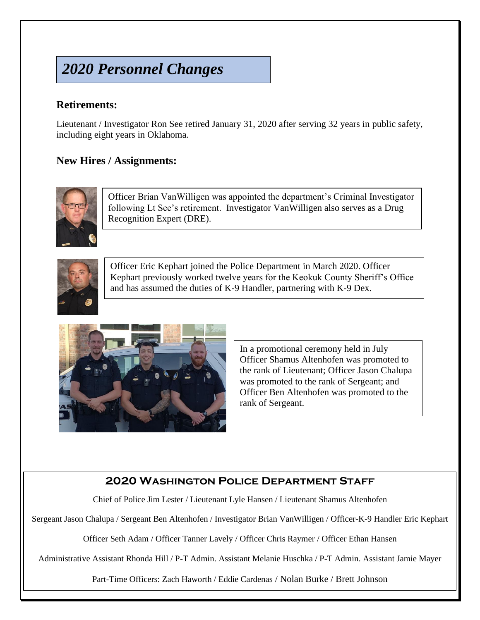# *2020 Personnel Changes*

#### **Retirements:**

Lieutenant / Investigator Ron See retired January 31, 2020 after serving 32 years in public safety, including eight years in Oklahoma.

#### **New Hires / Assignments:**



Officer Brian VanWilligen was appointed the department's Criminal Investigator following Lt See's retirement. Investigator VanWilligen also serves as a Drug Recognition Expert (DRE).



Officer Eric Kephart joined the Police Department in March 2020. Officer Kephart previously worked twelve years for the Keokuk County Sheriff's Office and has assumed the duties of K-9 Handler, partnering with K-9 Dex.



In a promotional ceremony held in July Officer Shamus Altenhofen was promoted to the rank of Lieutenant; Officer Jason Chalupa was promoted to the rank of Sergeant; and Officer Ben Altenhofen was promoted to the rank of Sergeant.

#### **2020 Washington Police Department Staff**

Chief of Police Jim Lester / Lieutenant Lyle Hansen / Lieutenant Shamus Altenhofen

Sergeant Jason Chalupa / Sergeant Ben Altenhofen / Investigator Brian VanWilligen / Officer-K-9 Handler Eric Kephart

Officer Seth Adam / Officer Tanner Lavely / Officer Chris Raymer / Officer Ethan Hansen

Administrative Assistant Rhonda Hill / P-T Admin. Assistant Melanie Huschka / P-T Admin. Assistant Jamie Mayer

Part-Time Officers: Zach Haworth / Eddie Cardenas / Nolan Burke / Brett Johnson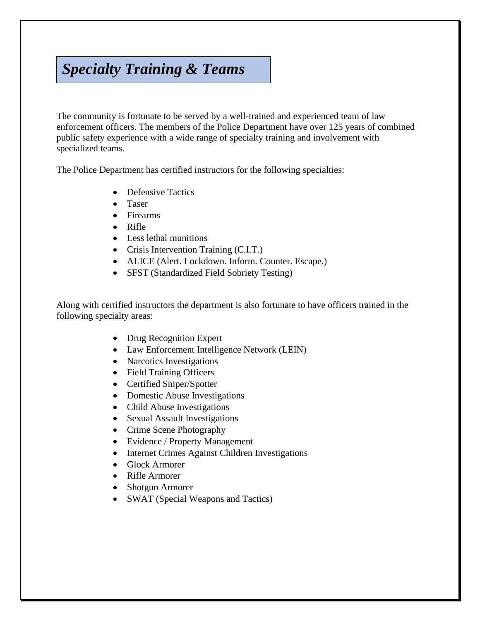## *Specialty Training & Teams*

The community is fortunate to be served by a well-trained and experienced team of law enforcement officers. The members of the Police Department have over 125 years of combined public safety experience with a wide range of specialty training and involvement with specialized teams.

The Police Department has certified instructors for the following specialties:

- Defensive Tactics
- Taser
- Firearms
- Rifle
- Less lethal munitions
- Crisis Intervention Training (C.I.T.)
- ALICE (Alert. Lockdown. Inform. Counter. Escape.)
- SFST (Standardized Field Sobriety Testing)

Along with certified instructors the department is also fortunate to have officers trained in the following specialty areas:

- Drug Recognition Expert
- Law Enforcement Intelligence Network (LEIN)
- Narcotics Investigations
- Field Training Officers
- Certified Sniper/Spotter
- Domestic Abuse Investigations
- Child Abuse Investigations
- Sexual Assault Investigations
- Crime Scene Photography
- Evidence / Property Management
- Internet Crimes Against Children Investigations
- Glock Armorer
- Rifle Armorer
- Shotgun Armorer
- SWAT (Special Weapons and Tactics)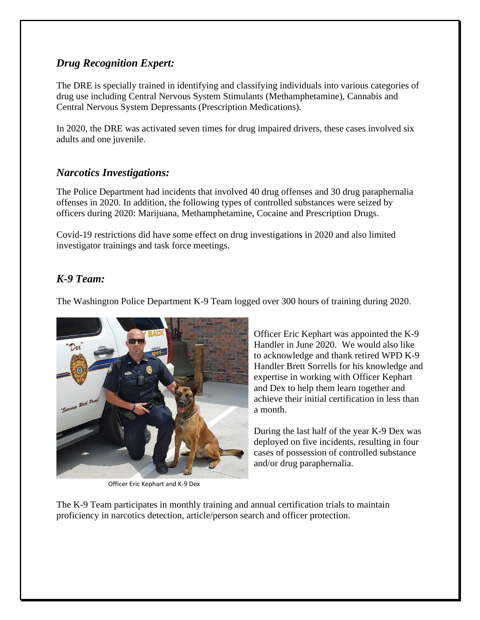#### *Drug Recognition Expert:*

The DRE is specially trained in identifying and classifying individuals into various categories of drug use including Central Nervous System Stimulants (Methamphetamine), Cannabis and Central Nervous System Depressants (Prescription Medications).

In 2020, the DRE was activated seven times for drug impaired drivers, these cases involved six adults and one juvenile.

#### *Narcotics Investigations:*

The Police Department had incidents that involved 40 drug offenses and 30 drug paraphernalia offenses in 2020. In addition, the following types of controlled substances were seized by officers during 2020: Marijuana, Methamphetamine, Cocaine and Prescription Drugs.

Covid-19 restrictions did have some effect on drug investigations in 2020 and also limited investigator trainings and task force meetings.

#### *K-9 Team:*

The Washington Police Department K-9 Team logged over 300 hours of training during 2020.



Officer Eric Kephart and K-9 Dex

Officer Eric Kephart was appointed the K-9 Handler in June 2020. We would also like to acknowledge and thank retired WPD K-9 Handler Brett Sorrells for his knowledge and expertise in working with Officer Kephart and Dex to help them learn together and achieve their initial certification in less than a month.

During the last half of the year K-9 Dex was deployed on five incidents, resulting in four cases of possession of controlled substance and/or drug paraphernalia.

The K-9 Team participates in monthly training and annual certification trials to maintain proficiency in narcotics detection, article/person search and officer protection.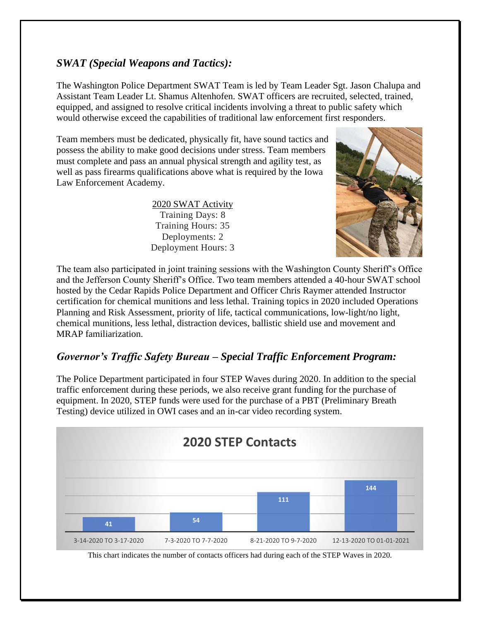#### *SWAT (Special Weapons and Tactics):*

The Washington Police Department SWAT Team is led by Team Leader Sgt. Jason Chalupa and Assistant Team Leader Lt. Shamus Altenhofen. SWAT officers are recruited, selected, trained, equipped, and assigned to resolve critical incidents involving a threat to public safety which would otherwise exceed the capabilities of traditional law enforcement first responders.

Team members must be dedicated, physically fit, have sound tactics and possess the ability to make good decisions under stress. Team members must complete and pass an annual physical strength and agility test, as well as pass firearms qualifications above what is required by the Iowa Law Enforcement Academy.

> 2020 SWAT Activity Training Days: 8 Training Hours: 35 Deployments: 2 Deployment Hours: 3



The team also participated in joint training sessions with the Washington County Sheriff's Office and the Jefferson County Sheriff's Office. Two team members attended a 40-hour SWAT school hosted by the Cedar Rapids Police Department and Officer Chris Raymer attended Instructor certification for chemical munitions and less lethal. Training topics in 2020 included Operations Planning and Risk Assessment, priority of life, tactical communications, low-light/no light, chemical munitions, less lethal, distraction devices, ballistic shield use and movement and MRAP familiarization.

#### *Governor's Traffic Safety Bureau – Special Traffic Enforcement Program:*

The Police Department participated in four STEP Waves during 2020. In addition to the special traffic enforcement during these periods, we also receive grant funding for the purchase of equipment. In 2020, STEP funds were used for the purchase of a PBT (Preliminary Breath Testing) device utilized in OWI cases and an in-car video recording system.



This chart indicates the number of contacts officers had during each of the STEP Waves in 2020.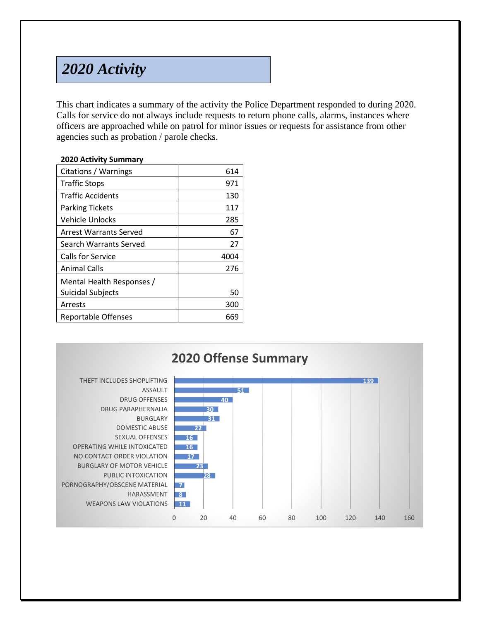# *2020 Activity*

This chart indicates a summary of the activity the Police Department responded to during 2020. Calls for service do not always include requests to return phone calls, alarms, instances where officers are approached while on patrol for minor issues or requests for assistance from other agencies such as probation / parole checks.

#### **2020 Activity Summary**

| Citations / Warnings          | 614  |
|-------------------------------|------|
| <b>Traffic Stops</b>          | 971  |
| <b>Traffic Accidents</b>      | 130  |
| <b>Parking Tickets</b>        | 117  |
| Vehicle Unlocks               | 285  |
| <b>Arrest Warrants Served</b> | 67   |
| Search Warrants Served        | 27   |
| Calls for Service             | 4004 |
| Animal Calls                  | 276  |
| Mental Health Responses /     |      |
| <b>Suicidal Subjects</b>      | 50   |
| Arrests                       | 300  |
| Reportable Offenses           | 669  |

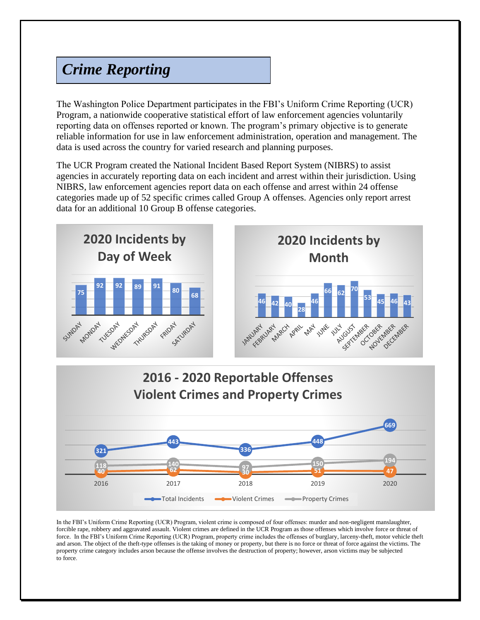# *Crime Reporting*

The Washington Police Department participates in the FBI's Uniform Crime Reporting (UCR) Program, a nationwide cooperative statistical effort of law enforcement agencies voluntarily reporting data on offenses reported or known. The program's primary objective is to generate reliable information for use in law enforcement administration, operation and management. The data is used across the country for varied research and planning purposes.

The UCR Program created the National Incident Based Report System (NIBRS) to assist agencies in accurately reporting data on each incident and arrest within their jurisdiction. Using NIBRS, law enforcement agencies report data on each offense and arrest within 24 offense categories made up of 52 specific crimes called Group A offenses. Agencies only report arrest data for an additional 10 Group B offense categories.





In the FBI's Uniform Crime Reporting (UCR) Program, violent crime is composed of four offenses: murder and non-negligent manslaughter, forcible rape, robbery and aggravated assault. Violent crimes are defined in the UCR Program as those offenses which involve force or threat of force. In the FBI's Uniform Crime Reporting (UCR) Program, property crime includes the offenses of burglary, larceny-theft, motor vehicle theft and arson. The object of the theft-type offenses is the taking of money or property, but there is no force or threat of force against the victims. The property crime category includes arson because the offense involves the destruction of property; however, arson victims may be subjected to force.